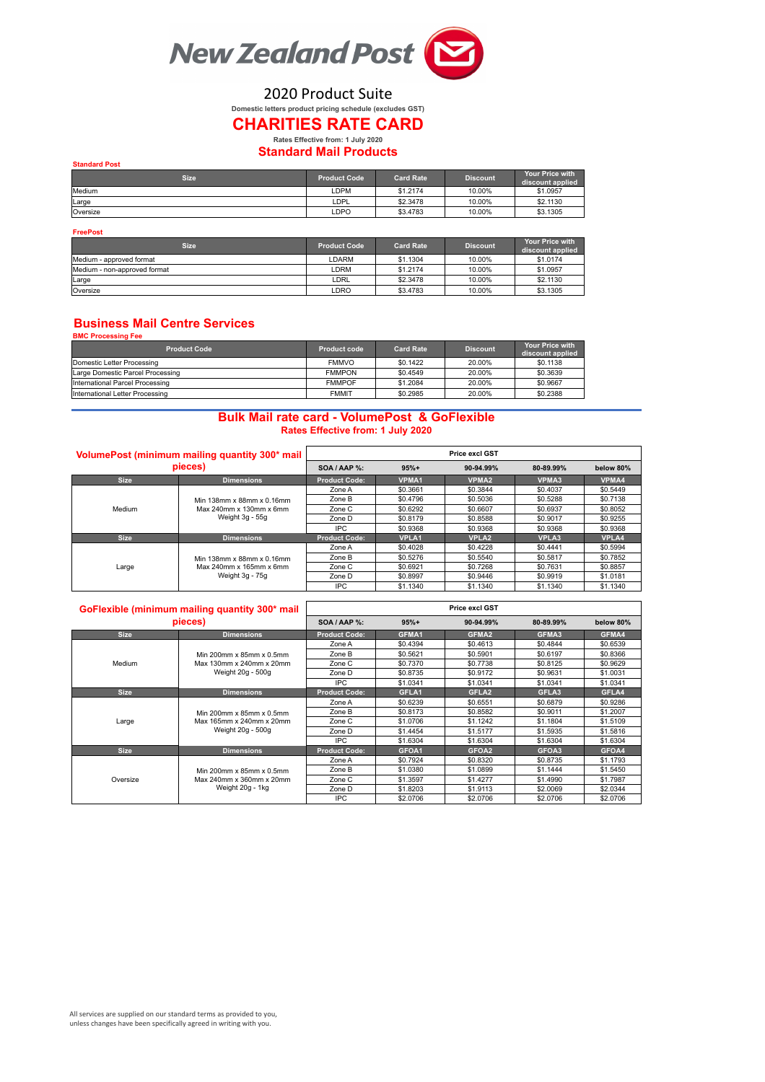

2020 Product Suite

# **Domestic letters product pricing schedule (excludes GST)**

## **CHARITIES RATE CARD Rates Effective from: 1 July 2020**

## **Standard Mail Products**

| <b>Standard Post</b> |                     |                  |                 |                                            |  |  |  |
|----------------------|---------------------|------------------|-----------------|--------------------------------------------|--|--|--|
| <b>Size</b>          | <b>Product Code</b> | <b>Card Rate</b> | <b>Discount</b> | <b>Your Price with</b><br>discount applied |  |  |  |
| Medium               | LDPM                | \$1,2174         | 10.00%          | \$1,0957                                   |  |  |  |
| Large                | LDPL                | \$2,3478         | 10.00%          | \$2,1130                                   |  |  |  |
| Oversize             | LDPO                | \$3,4783         | 10.00%          | \$3,1305                                   |  |  |  |

#### **FreePost**

| <b>Size</b>                  | <b>Product Code</b> | <b>Card Rate</b> | <b>Discount</b> | <b>Your Price with</b><br>discount applied |
|------------------------------|---------------------|------------------|-----------------|--------------------------------------------|
| Medium - approved format     | DARM                | \$1,1304         | 10.00%          | \$1,0174                                   |
| Medium - non-approved format | LDRM                | \$1,2174         | 10.00%          | \$1,0957                                   |
| Large                        | _DRL                | \$2,3478         | 10.00%          | \$2,1130                                   |
| Oversize                     | LDRO                | \$3,4783         | 10.00%          | \$3,1305                                   |

#### **Business Mail Centre Services BMC Processing Fee**

| ______________________           |               |                  |                 |                                            |  |  |  |  |
|----------------------------------|---------------|------------------|-----------------|--------------------------------------------|--|--|--|--|
| <b>Product Code</b>              | Product code  | <b>Card Rate</b> | <b>Discount</b> | <b>Your Price with</b><br>discount applied |  |  |  |  |
| Domestic Letter Processing       | <b>FMMVO</b>  | \$0.1422         | 20.00%          | \$0.1138                                   |  |  |  |  |
| Large Domestic Parcel Processing | <b>FMMPON</b> | \$0.4549         | 20.00%          | \$0.3639                                   |  |  |  |  |
| International Parcel Processing  | <b>FMMPOF</b> | \$1,2084         | 20.00%          | \$0.9667                                   |  |  |  |  |
| International Letter Processing  | <b>FMMIT</b>  | \$0.2985         | 20.00%          | \$0.2388                                   |  |  |  |  |

### **Bulk Mail rate card - VolumePost & GoFlexible Rates Effective from: 1 July 2020**

| VolumePost (minimum mailing quantity 300* mail)<br>pieces) |                           |                      |              | <b>Price excl GST</b> |              |              |
|------------------------------------------------------------|---------------------------|----------------------|--------------|-----------------------|--------------|--------------|
|                                                            |                           | SOA / AAP %:         | $95%+$       | 90-94.99%             | 80-89.99%    | below 80%    |
| <b>Size</b>                                                | <b>Dimensions</b>         | <b>Product Code:</b> | <b>VPMA1</b> | <b>VPMA2</b>          | <b>VPMA3</b> | VPMA4        |
|                                                            |                           | Zone A               | \$0.3661     | \$0.3844              | \$0,4037     | \$0,5449     |
|                                                            | Min 138mm x 88mm x 0.16mm | Zone B               | \$0,4796     | \$0,5036              | \$0.5288     | \$0.7138     |
| Medium                                                     | Max 240mm x 130mm x 6mm   | Zone C               | \$0.6292     | \$0.6607              | \$0.6937     | \$0,8052     |
|                                                            | Weight 3g - 55g           | Zone D               | \$0.8179     | \$0.8588              | \$0,9017     | \$0,9255     |
|                                                            |                           | IPC.                 | \$0.9368     | \$0,9368              | \$0,9368     | \$0,9368     |
| <b>Size</b>                                                | <b>Dimensions</b>         | <b>Product Code:</b> | <b>VPLA1</b> | <b>VPLA2</b>          | VPLA3        | <b>VPLA4</b> |
|                                                            |                           | Zone A               | \$0.4028     | \$0.4228              | \$0.4441     | \$0.5994     |
| Large                                                      | Min 138mm x 88mm x 0.16mm | Zone B               | \$0.5276     | \$0.5540              | \$0.5817     | \$0.7852     |
|                                                            | Max 240mm x 165mm x 6mm   | Zone C               | \$0.6921     | \$0,7268              | \$0.7631     | \$0.8857     |
|                                                            | Weight 3g - 75g           | Zone D               | \$0.8997     | \$0,9446              | \$0,9919     | \$1,0181     |
|                                                            |                           | IPC                  | \$1,1340     | \$1,1340              | \$1,1340     | \$1,1340     |

| GoFlexible (minimum mailing quantity 300* mail<br>pieces) |                                                      | <b>Price excl GST</b> |          |                   |           |           |  |
|-----------------------------------------------------------|------------------------------------------------------|-----------------------|----------|-------------------|-----------|-----------|--|
|                                                           |                                                      | SOA / AAP %:          | $95%+$   | 90-94.99%         | 80-89.99% | below 80% |  |
| <b>Size</b>                                               | <b>Dimensions</b>                                    | <b>Product Code:</b>  | GFMA1    | GFMA <sub>2</sub> | GFMA3     | GFMA4     |  |
|                                                           |                                                      | Zone A                | \$0.4394 | \$0.4613          | \$0.4844  | \$0.6539  |  |
|                                                           | Min 200mm x 85mm x 0.5mm                             | Zone B                | \$0.5621 | \$0.5901          | \$0.6197  | \$0.8366  |  |
| Medium                                                    | Max 130mm x 240mm x 20mm                             | Zone C                | \$0.7370 | \$0.7738          | \$0.8125  | \$0.9629  |  |
|                                                           | Weight 20g - 500g                                    | Zone D                | \$0.8735 | \$0.9172          | \$0.9631  | \$1.0031  |  |
|                                                           |                                                      | IPC.                  | \$1.0341 | \$1.0341          | \$1.0341  | \$1.0341  |  |
| <b>Size</b>                                               | <b>Dimensions</b>                                    | <b>Product Code:</b>  | GFLA1    | GFLA <sub>2</sub> | GFLA3     | GFLA4     |  |
|                                                           | Min 200mm x 85mm x 0.5mm<br>Max 165mm x 240mm x 20mm | Zone A                | \$0.6239 | \$0.6551          | \$0,6879  | \$0,9286  |  |
|                                                           |                                                      | Zone B                | \$0.8173 | \$0.8582          | \$0.9011  | \$1.2007  |  |
| Large                                                     |                                                      | Zone C                | \$1,0706 | \$1.1242          | \$1.1804  | \$1.5109  |  |
|                                                           | Weight 20g - 500g                                    | Zone D                | \$1,4454 | \$1.5177          | \$1,5935  | \$1.5816  |  |
|                                                           |                                                      | IPC.                  | \$1,6304 | \$1.6304          | \$1,6304  | \$1.6304  |  |
| <b>Size</b>                                               | <b>Dimensions</b>                                    | <b>Product Code:</b>  | GFOA1    | GFOA2             | GFOA3     | GFOA4     |  |
|                                                           |                                                      | Zone A                | \$0.7924 | \$0.8320          | \$0.8735  | \$1.1793  |  |
| Oversize                                                  | Min 200mm x 85mm x 0.5mm                             | Zone B                | \$1,0380 | \$1,0899          | \$1.1444  | \$1.5450  |  |
|                                                           | Max 240mm x 360mm x 20mm                             | Zone C                | \$1,3597 | \$1,4277          | \$1,4990  | \$1,7987  |  |
|                                                           | Weight 20g - 1kg                                     | Zone D                | \$1,8203 | \$1,9113          | \$2,0069  | \$2.0344  |  |
|                                                           |                                                      | IPC.                  | \$2.0706 | \$2.0706          | \$2.0706  | \$2,0706  |  |